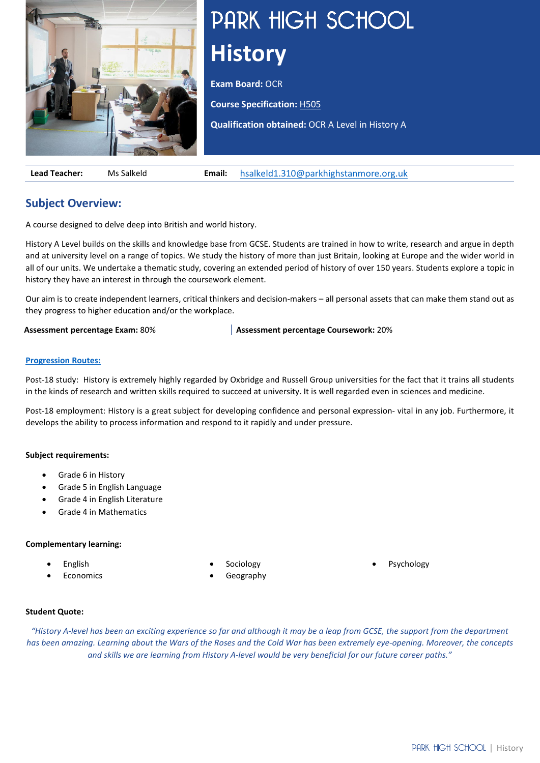

# PARK HIGH SCHOOL **History**

**Exam Board: OCR** 

**Course Specification:** [H505](https://www.ocr.org.uk/Images/170128-specification-accredited-a-level-gce-history-a-h505.pdf)

**Qualification obtained:** OCR A Level in History A

**Lead Teacher:** Ms Salkeld **Email:** [hsalkeld1.310@parkhighstanmore.org.uk](mailto:hsalkeld1.310@parkhighstanmore.org.uk)

# **Subject Overview:**

A course designed to delve deep into British and world history.

History A Level builds on the skills and knowledge base from GCSE. Students are trained in how to write, research and argue in depth and at university level on a range of topics. We study the history of more than just Britain, looking at Europe and the wider world in all of our units. We undertake a thematic study, covering an extended period of history of over 150 years. Students explore a topic in history they have an interest in through the coursework element.

Our aim is to create independent learners, critical thinkers and decision-makers – all personal assets that can make them stand out as they progress to higher education and/or the workplace.

**Assessment percentage Exam:** 80% **Assessment percentage Coursework:** 20%

## **[Progression Routes:](https://www.parkhighstanmore.org.uk/careersandemploaybility/studentresources)**

Post-18 study: History is extremely highly regarded by Oxbridge and Russell Group universities for the fact that it trains all students in the kinds of research and written skills required to succeed at university. It is well regarded even in sciences and medicine.

Post-18 employment: History is a great subject for developing confidence and personal expression- vital in any job. Furthermore, it develops the ability to process information and respond to it rapidly and under pressure.

## **Subject requirements:**

- Grade 6 in History
- Grade 5 in English Language
- Grade 4 in English Literature
- Grade 4 in Mathematics

## **Complementary learning:**

- English
- **Economics**
- **Sociology**
- Geography

**Psychology** 

## **Student Quote:**

*"History A-level has been an exciting experience so far and although it may be a leap from GCSE, the support from the department has been amazing. Learning about the Wars of the Roses and the Cold War has been extremely eye-opening. Moreover, the concepts and skills we are learning from History A-level would be very beneficial for our future career paths."*